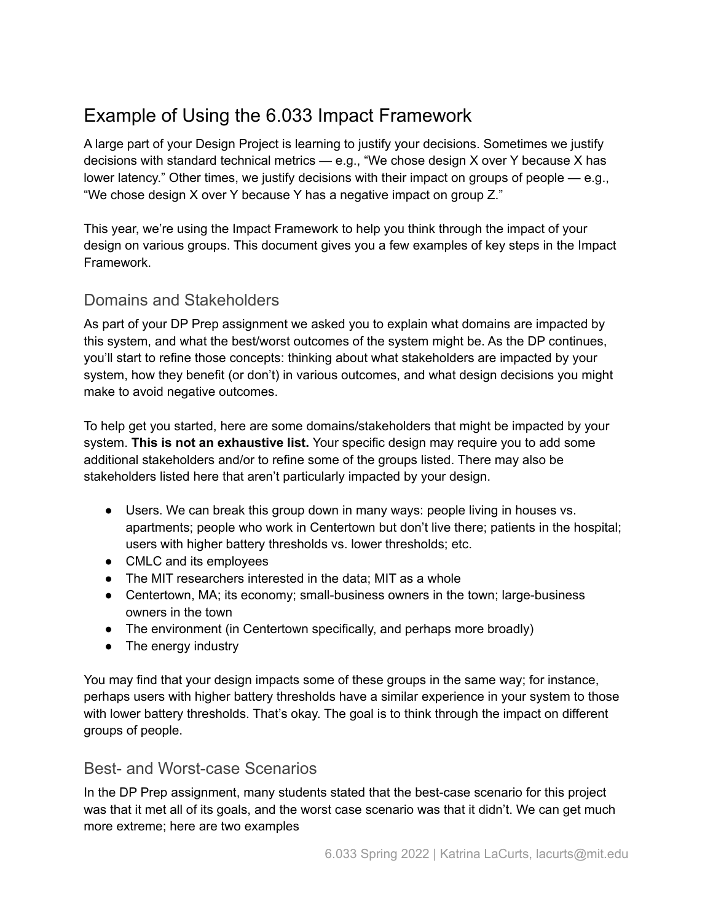# Example of Using the 6.033 Impact Framework

A large part of your Design Project is learning to justify your decisions. Sometimes we justify decisions with standard technical metrics — e.g., "We chose design X over Y because X has lower latency." Other times, we justify decisions with their impact on groups of people — e.g., "We chose design X over Y because Y has a negative impact on group Z."

This year, we're using the Impact Framework to help you think through the impact of your design on various groups. This document gives you a few examples of key steps in the Impact Framework.

# Domains and Stakeholders

As part of your DP Prep assignment we asked you to explain what domains are impacted by this system, and what the best/worst outcomes of the system might be. As the DP continues, you'll start to refine those concepts: thinking about what stakeholders are impacted by your system, how they benefit (or don't) in various outcomes, and what design decisions you might make to avoid negative outcomes.

To help get you started, here are some domains/stakeholders that might be impacted by your system. **This is not an exhaustive list.** Your specific design may require you to add some additional stakeholders and/or to refine some of the groups listed. There may also be stakeholders listed here that aren't particularly impacted by your design.

- Users. We can break this group down in many ways: people living in houses vs. apartments; people who work in Centertown but don't live there; patients in the hospital; users with higher battery thresholds vs. lower thresholds; etc.
- CMLC and its employees
- The MIT researchers interested in the data; MIT as a whole
- Centertown, MA; its economy; small-business owners in the town; large-business owners in the town
- The environment (in Centertown specifically, and perhaps more broadly)
- The energy industry

You may find that your design impacts some of these groups in the same way; for instance, perhaps users with higher battery thresholds have a similar experience in your system to those with lower battery thresholds. That's okay. The goal is to think through the impact on different groups of people.

### Best- and Worst-case Scenarios

In the DP Prep assignment, many students stated that the best-case scenario for this project was that it met all of its goals, and the worst case scenario was that it didn't. We can get much more extreme; here are two examples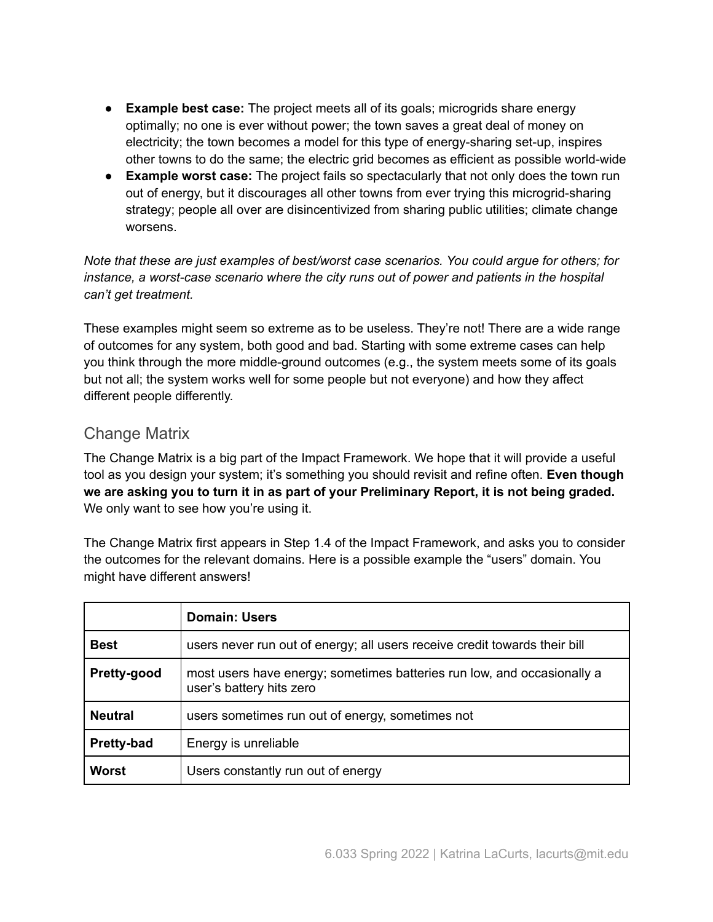- **● Example best case:** The project meets all of its goals; microgrids share energy optimally; no one is ever without power; the town saves a great deal of money on electricity; the town becomes a model for this type of energy-sharing set-up, inspires other towns to do the same; the electric grid becomes as efficient as possible world-wide
- **● Example worst case:** The project fails so spectacularly that not only does the town run out of energy, but it discourages all other towns from ever trying this microgrid-sharing strategy; people all over are disincentivized from sharing public utilities; climate change worsens.

*Note that these are just examples of best/worst case scenarios. You could argue for others; for instance, a worst-case scenario where the city runs out of power and patients in the hospital can't get treatment.*

These examples might seem so extreme as to be useless. They're not! There are a wide range of outcomes for any system, both good and bad. Starting with some extreme cases can help you think through the more middle-ground outcomes (e.g., the system meets some of its goals but not all; the system works well for some people but not everyone) and how they affect different people differently.

# Change Matrix

The Change Matrix is a big part of the Impact Framework. We hope that it will provide a useful tool as you design your system; it's something you should revisit and refine often. **Even though we are asking you to turn it in as part of your Preliminary Report, it is not being graded.** We only want to see how you're using it.

The Change Matrix first appears in Step 1.4 of the Impact Framework, and asks you to consider the outcomes for the relevant domains. Here is a possible example the "users" domain. You might have different answers!

|                    | <b>Domain: Users</b>                                                                                |
|--------------------|-----------------------------------------------------------------------------------------------------|
| <b>Best</b>        | users never run out of energy; all users receive credit towards their bill                          |
| <b>Pretty-good</b> | most users have energy; sometimes batteries run low, and occasionally a<br>user's battery hits zero |
| <b>Neutral</b>     | users sometimes run out of energy, sometimes not                                                    |
| <b>Pretty-bad</b>  | Energy is unreliable                                                                                |
| <b>Worst</b>       | Users constantly run out of energy                                                                  |